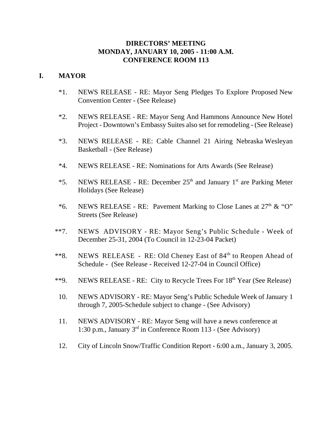### **DIRECTORS' MEETING MONDAY, JANUARY 10, 2005 - 11:00 A.M. CONFERENCE ROOM 113**

### **I. MAYOR**

- \*1. NEWS RELEASE RE: Mayor Seng Pledges To Explore Proposed New Convention Center - (See Release)
- \*2. NEWS RELEASE RE: Mayor Seng And Hammons Announce New Hotel Project - Downtown's Embassy Suites also set for remodeling - (See Release)
- \*3. NEWS RELEASE RE: Cable Channel 21 Airing Nebraska Wesleyan Basketball - (See Release)
- \*4. NEWS RELEASE RE: Nominations for Arts Awards (See Release)
- \*5. NEWS RELEASE RE: December  $25<sup>th</sup>$  and January 1<sup>st</sup> are Parking Meter Holidays (See Release)
- \*6. NEWS RELEASE RE: Pavement Marking to Close Lanes at  $27<sup>th</sup>$  & "O" Streets (See Release)
- \*\*7. NEWS ADVISORY RE: Mayor Seng's Public Schedule Week of December 25-31, 2004 (To Council in 12-23-04 Packet)
- \*\*8. NEWS RELEASE RE: Old Cheney East of 84<sup>th</sup> to Reopen Ahead of Schedule - (See Release - Received 12-27-04 in Council Office)
- \*\*9. NEWS RELEASE RE: City to Recycle Trees For 18<sup>th</sup> Year (See Release)
- 10. NEWS ADVISORY RE: Mayor Seng's Public Schedule Week of January 1 through 7, 2005-Schedule subject to change - (See Advisory)
- 11. NEWS ADVISORY RE: Mayor Seng will have a news conference at 1:30 p.m., January 3rd in Conference Room 113 - (See Advisory)
- 12. City of Lincoln Snow/Traffic Condition Report 6:00 a.m., January 3, 2005.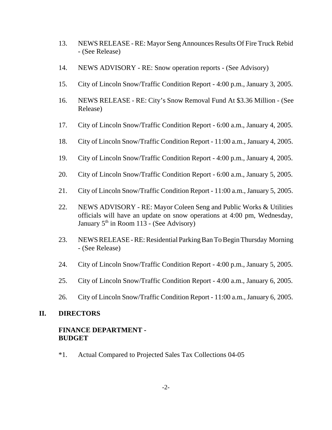- 13. NEWS RELEASE RE: Mayor Seng Announces Results Of Fire Truck Rebid - (See Release)
- 14. NEWS ADVISORY RE: Snow operation reports (See Advisory)
- 15. City of Lincoln Snow/Traffic Condition Report 4:00 p.m., January 3, 2005.
- 16. NEWS RELEASE RE: City's Snow Removal Fund At \$3.36 Million (See Release)
- 17. City of Lincoln Snow/Traffic Condition Report 6:00 a.m., January 4, 2005.
- 18. City of Lincoln Snow/Traffic Condition Report 11:00 a.m., January 4, 2005.
- 19. City of Lincoln Snow/Traffic Condition Report 4:00 p.m., January 4, 2005.
- 20. City of Lincoln Snow/Traffic Condition Report 6:00 a.m., January 5, 2005.
- 21. City of Lincoln Snow/Traffic Condition Report 11:00 a.m., January 5, 2005.
- 22. NEWS ADVISORY RE: Mayor Coleen Seng and Public Works & Utilities officials will have an update on snow operations at 4:00 pm, Wednesday, January  $5<sup>th</sup>$  in Room 113 - (See Advisory)
- 23. NEWS RELEASE RE: Residential Parking Ban To Begin Thursday Morning - (See Release)
- 24. City of Lincoln Snow/Traffic Condition Report 4:00 p.m., January 5, 2005.
- 25. City of Lincoln Snow/Traffic Condition Report 4:00 a.m., January 6, 2005.
- 26. City of Lincoln Snow/Traffic Condition Report 11:00 a.m., January 6, 2005.

#### **II. DIRECTORS**

### **FINANCE DEPARTMENT - BUDGET**

\*1. Actual Compared to Projected Sales Tax Collections 04-05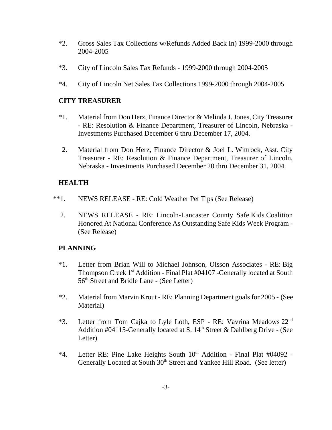- \*2. Gross Sales Tax Collections w/Refunds Added Back In) 1999-2000 through 2004-2005
- \*3. City of Lincoln Sales Tax Refunds 1999-2000 through 2004-2005
- \*4. City of Lincoln Net Sales Tax Collections 1999-2000 through 2004-2005

### **CITY TREASURER**

- \*1. Material from Don Herz, Finance Director & Melinda J. Jones, City Treasurer - RE: Resolution & Finance Department, Treasurer of Lincoln, Nebraska - Investments Purchased December 6 thru December 17, 2004.
- 2. Material from Don Herz, Finance Director & Joel L. Wittrock, Asst. City Treasurer - RE: Resolution & Finance Department, Treasurer of Lincoln, Nebraska - Investments Purchased December 20 thru December 31, 2004.

## **HEALTH**

- \*\*1. NEWS RELEASE RE: Cold Weather Pet Tips (See Release)
	- 2. NEWS RELEASE RE: Lincoln-Lancaster County Safe Kids Coalition Honored At National Conference As Outstanding Safe Kids Week Program - (See Release)

## **PLANNING**

- \*1. Letter from Brian Will to Michael Johnson, Olsson Associates RE: Big Thompson Creek 1<sup>st</sup> Addition - Final Plat #04107 -Generally located at South 56th Street and Bridle Lane - (See Letter)
- \*2. Material from Marvin Krout RE: Planning Department goals for 2005 (See Material)
- <sup>\*</sup>3. Letter from Tom Cajka to Lyle Loth, ESP RE: Vavrina Meadows 22<sup>nd</sup> Addition #04115-Generally located at S.  $14<sup>th</sup>$  Street & Dahlberg Drive - (See Letter)
- $*4$ . Letter RE: Pine Lake Heights South  $10<sup>th</sup>$  Addition Final Plat #04092 -Generally Located at South 30<sup>th</sup> Street and Yankee Hill Road. (See letter)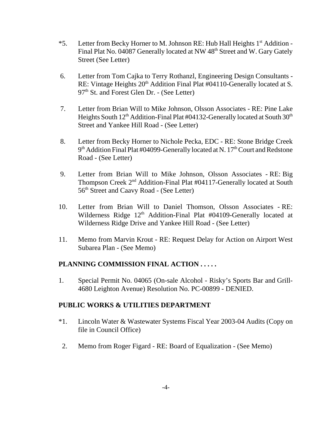- $*5.$  Letter from Becky Horner to M. Johnson RE: Hub Hall Heights  $1<sup>st</sup>$  Addition -Final Plat No. 04087 Generally located at NW 48<sup>th</sup> Street and W. Gary Gately Street (See Letter)
- 6. Letter from Tom Cajka to Terry Rothanzl, Engineering Design Consultants RE: Vintage Heights 20<sup>th</sup> Addition Final Plat #04110-Generally located at S. 97<sup>th</sup> St. and Forest Glen Dr. - (See Letter)
- 7. Letter from Brian Will to Mike Johnson, Olsson Associates RE: Pine Lake Heights South  $12<sup>th</sup>$  Addition-Final Plat #04132-Generally located at South  $30<sup>th</sup>$ Street and Yankee Hill Road - (See Letter)
- 8. Letter from Becky Horner to Nichole Pecka, EDC RE: Stone Bridge Creek  $9<sup>th</sup>$  Addition Final Plat #04099-Generally located at N. 17<sup>th</sup> Court and Redstone Road - (See Letter)
- 9. Letter from Brian Will to Mike Johnson, Olsson Associates RE: Big Thompson Creek 2nd Addition-Final Plat #04117-Generally located at South 56<sup>th</sup> Street and Caavy Road - (See Letter)
- 10. Letter from Brian Will to Daniel Thomson, Olsson Associates RE: Wilderness Ridge  $12<sup>th</sup>$  Addition-Final Plat #04109-Generally located at Wilderness Ridge Drive and Yankee Hill Road - (See Letter)
- 11. Memo from Marvin Krout RE: Request Delay for Action on Airport West Subarea Plan - (See Memo)

## **PLANNING COMMISSION FINAL ACTION . . . . .**

1. Special Permit No. 04065 (On-sale Alcohol - Risky's Sports Bar and Grill-4680 Leighton Avenue) Resolution No. PC-00899 - DENIED.

#### **PUBLIC WORKS & UTILITIES DEPARTMENT**

- \*1. Lincoln Water & Wastewater Systems Fiscal Year 2003-04 Audits (Copy on file in Council Office)
- 2. Memo from Roger Figard RE: Board of Equalization (See Memo)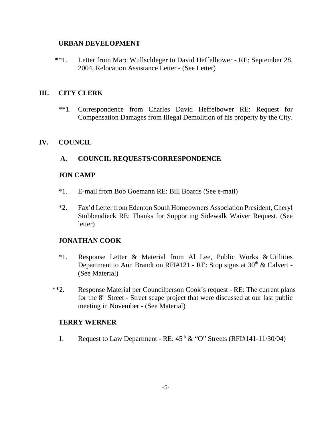### **URBAN DEVELOPMENT**

\*\*1. Letter from Marc Wullschleger to David Heffelbower - RE: September 28, 2004, Relocation Assistance Letter - (See Letter)

## **III. CITY CLERK**

\*\*1. Correspondence from Charles David Heffelbower RE: Request for Compensation Damages from Illegal Demolition of his property by the City.

## **IV. COUNCIL**

## **A. COUNCIL REQUESTS/CORRESPONDENCE**

### **JON CAMP**

- \*1. E-mail from Bob Goemann RE: Bill Boards (See e-mail)
- \*2. Fax'd Letter from Edenton South Homeowners Association President, Cheryl Stubbendieck RE: Thanks for Supporting Sidewalk Waiver Request. (See letter)

## **JONATHAN COOK**

- \*1. Response Letter & Material from Al Lee, Public Works & Utilities Department to Ann Brandt on RFI#121 - RE: Stop signs at  $30<sup>th</sup>$  & Calvert -(See Material)
- \*\*2. Response Material per Councilperson Cook's request RE: The current plans for the  $8<sup>th</sup>$  Street - Street scape project that were discussed at our last public meeting in November - (See Material)

#### **TERRY WERNER**

1. Request to Law Department - RE:  $45<sup>th</sup> \& ^\circ$  "O" Streets (RFI#141-11/30/04)